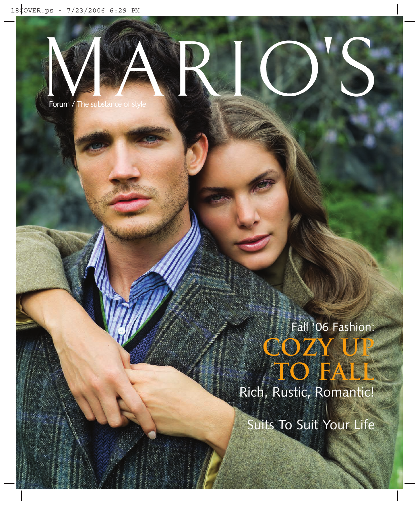

Forum / The substance of style

Fall '06 Fashion: **cozy upto fall**

Rich, Rustic, Romantic!

Suits To Suit Your Life